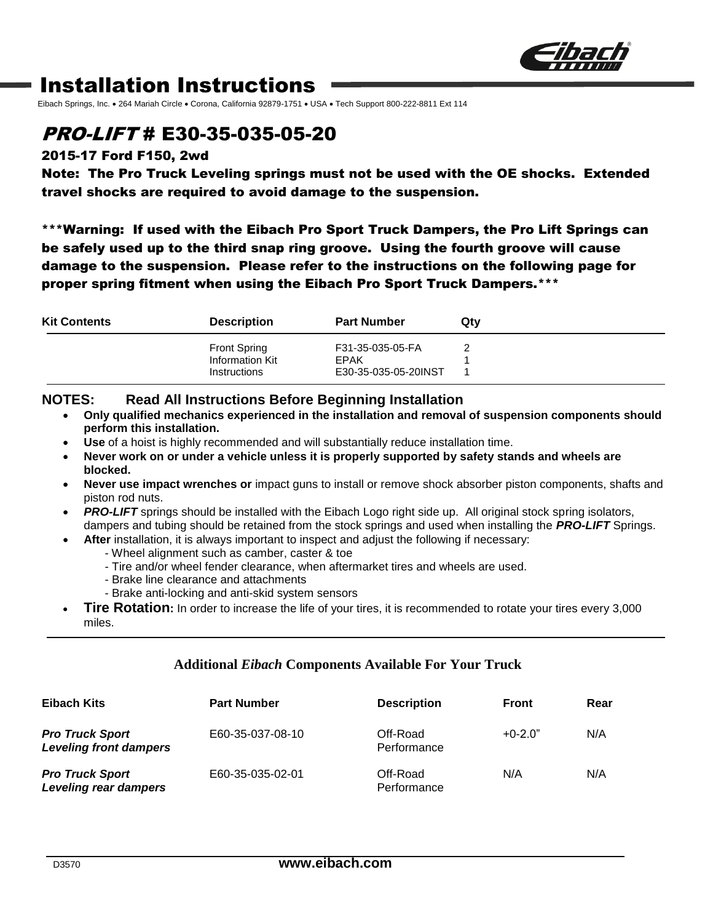

## Installation Instructions

Eibach Springs, Inc. . 264 Mariah Circle . Corona, California 92879-1751 . USA . Tech Support 800-222-8811 Ext 114

## PRO-LIFT # E30-35-035-05-20

#### 2015-17 Ford F150, 2wd

Note: The Pro Truck Leveling springs must not be used with the OE shocks. Extended travel shocks are required to avoid damage to the suspension.

\*\*\*Warning: If used with the Eibach Pro Sport Truck Dampers, the Pro Lift Springs can be safely used up to the third snap ring groove. Using the fourth groove will cause damage to the suspension. Please refer to the instructions on the following page for proper spring fitment when using the Eibach Pro Sport Truck Dampers.\*\*\*

| <b>Kit Contents</b> | <b>Description</b>  | <b>Part Number</b>   | Qty |
|---------------------|---------------------|----------------------|-----|
|                     | <b>Front Spring</b> | F31-35-035-05-FA     |     |
|                     | Information Kit     | EPAK                 |     |
|                     | Instructions        | E30-35-035-05-20INST |     |

#### **NOTES: Read All Instructions Before Beginning Installation**

- **Only qualified mechanics experienced in the installation and removal of suspension components should perform this installation.**
- **Use** of a hoist is highly recommended and will substantially reduce installation time.
- **Never work on or under a vehicle unless it is properly supported by safety stands and wheels are blocked.**
- **Never use impact wrenches or** impact guns to install or remove shock absorber piston components, shafts and piston rod nuts.
- **PRO-LIFT** springs should be installed with the Eibach Logo right side up. All original stock spring isolators, dampers and tubing should be retained from the stock springs and used when installing the *PRO-LIFT* Springs.
	- **After** installation, it is always important to inspect and adjust the following if necessary:
		- Wheel alignment such as camber, caster & toe
			- Tire and/or wheel fender clearance, when aftermarket tires and wheels are used.
			- Brake line clearance and attachments
		- Brake anti-locking and anti-skid system sensors
- **Tire Rotation:** In order to increase the life of your tires, it is recommended to rotate your tires every 3,000 miles.

#### **Additional** *Eibach* **Components Available For Your Truck**

| Eibach Kits                                             | <b>Part Number</b> | <b>Description</b>      | <b>Front</b> | Rear |
|---------------------------------------------------------|--------------------|-------------------------|--------------|------|
| <b>Pro Truck Sport</b><br><b>Leveling front dampers</b> | E60-35-037-08-10   | Off-Road<br>Performance | $+0-2.0"$    | N/A  |
| <b>Pro Truck Sport</b><br>Leveling rear dampers         | E60-35-035-02-01   | Off-Road<br>Performance | N/A          | N/A  |